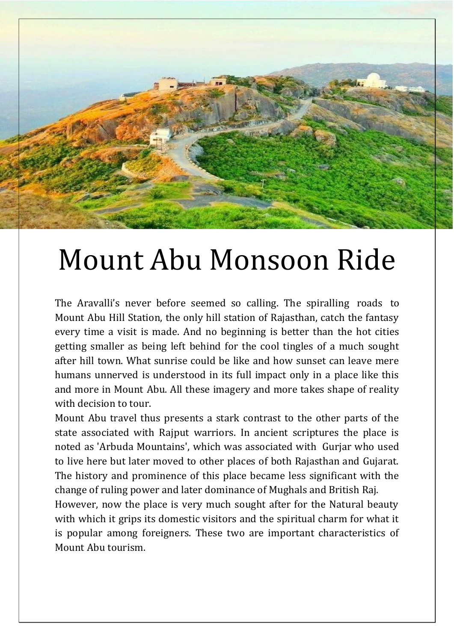Mount Abu Monsoon Ride

The Aravalli's never before seemed so calling. The spiralling roads to Mount Abu Hill Station, the only hill station of Rajasthan, catch the fantasy every time a visit is made. And no beginning is better than the hot cities getting smaller as being left behind for the cool tingles of a much sought after hill town. What sunrise could be like and how sunset can leave mere humans unnerved is understood in its full impact only in a place like this and more in Mount Abu. All these imagery and more takes shape of reality with decision to tour.

Mount Abu travel thus presents a stark contrast to the other parts of the state associated with Rajput warriors. In ancient scriptures the place is noted as 'Arbuda Mountains', which was associated with Gurjar who used to live here but later moved to other places of both Rajasthan and Gujarat. The history and prominence of this place became less significant with the change of ruling power and later dominance of Mughals and British Raj.

However, now the place is very much sought after for the Natural beauty with which it grips its domestic visitors and the spiritual charm for what it is popular among foreigners. These two are important characteristics of Mount Abu tourism.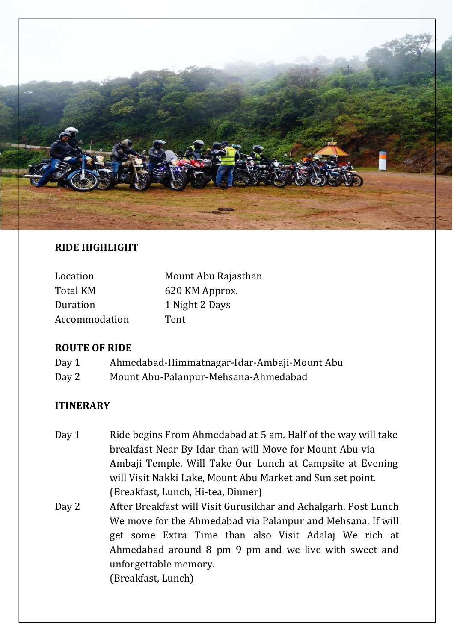

# **RIDE HIGHLIGHT**

| Location        | Mount Abu Rajasthan |
|-----------------|---------------------|
| <b>Total KM</b> | 620 KM Approx.      |
| Duration        | 1 Night 2 Days      |
| Accommodation   | Tent                |

# **ROUTE OF RIDE**

| Day 1 | Ahmedabad-Himmatnagar-Idar-Ambaji-Mount Abu |
|-------|---------------------------------------------|
| Day 2 | Mount Abu-Palanpur-Mehsana-Ahmedabad        |

# **ITINERARY**

- Day 1 Ride begins From Ahmedabad at 5 am. Half of the way will take breakfast Near By Idar than will Move for Mount Abu via Ambaji Temple. Will Take Our Lunch at Campsite at Evening will Visit Nakki Lake, Mount Abu Market and Sun set point. (Breakfast, Lunch, Hi-tea, Dinner)
- Day 2 After Breakfast will Visit Gurusikhar and Achalgarh. Post Lunch We move for the Ahmedabad via Palanpur and Mehsana. If will get some Extra Time than also Visit Adalaj We rich at Ahmedabad around 8 pm 9 pm and we live with sweet and unforgettable memory. (Breakfast, Lunch)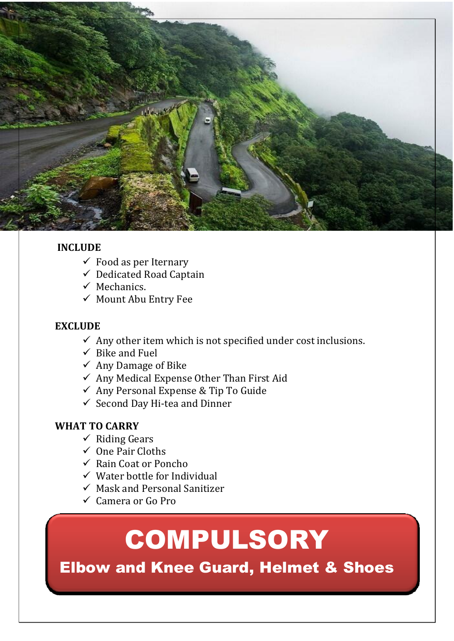

## **INCLUDE**

- $\checkmark$  Food as per Iternary
- $\checkmark$  Dedicated Road Captain
- $\checkmark$  Mechanics.
- $\checkmark$  Mount Abu Entry Fee

#### **EXCLUDE**

- $\checkmark$  Any other item which is not specified under cost inclusions.
- $\checkmark$  Bike and Fuel
- $\checkmark$  Any Damage of Bike
- $\checkmark$  Any Medical Expense Other Than First Aid
- $\checkmark$  Any Personal Expense & Tip To Guide
- $\checkmark$  Second Day Hi-tea and Dinner

### **WHAT TO CARRY**

- $\checkmark$  Riding Gears
- $\checkmark$  One Pair Cloths
- $\checkmark$  Rain Coat or Poncho
- $\checkmark$  Water bottle for Individual
- $\checkmark$  Mask and Personal Sanitizer
- $\checkmark$  Camera or Go Pro

# COMPULSORY

Elbow and Knee Guard, Helmet & Shoes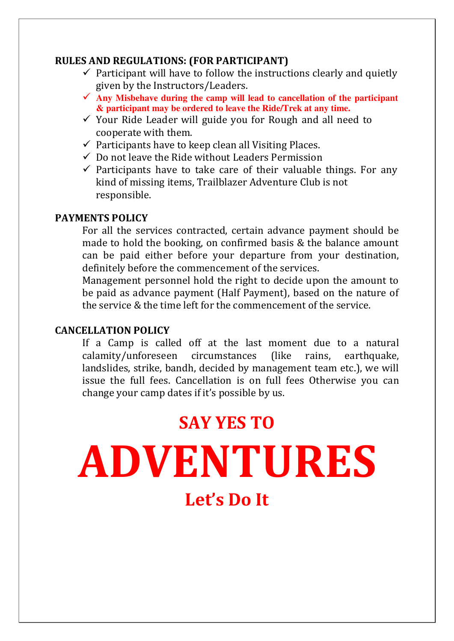### **RULES AND REGULATIONS: (FOR PARTICIPANT)**

- $\checkmark$  Participant will have to follow the instructions clearly and quietly given by the Instructors/Leaders.
- $\checkmark$  Any Misbehave during the camp will lead to cancellation of the participant **& participant may be ordered to leave the Ride/Trek at any time.**
- $\checkmark$  Your Ride Leader will guide you for Rough and all need to cooperate with them.
- $\checkmark$  Participants have to keep clean all Visiting Places.
- $\checkmark$  Do not leave the Ride without Leaders Permission
- $\checkmark$  Participants have to take care of their valuable things. For any kind of missing items, Trailblazer Adventure Club is not responsible.

### **PAYMENTS POLICY**

For all the services contracted, certain advance payment should be made to hold the booking, on confirmed basis & the balance amount can be paid either before your departure from your destination, definitely before the commencement of the services.

Management personnel hold the right to decide upon the amount to be paid as advance payment (Half Payment), based on the nature of the service & the time left for the commencement of the service.

### **CANCELLATION POLICY**

If a Camp is called off at the last moment due to a natural calamity/unforeseen circumstances (like rains, earthquake, landslides, strike, bandh, decided by management team etc.), we will issue the full fees. Cancellation is on full fees Otherwise you can change your camp dates if it's possible by us.

# **SAY YES TO**

**ADVENTURES Let's Do It**